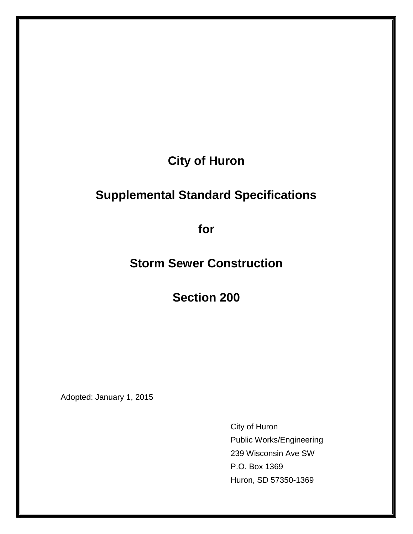# **City of Huron**

# **Supplemental Standard Specifications**

**for**

**Storm Sewer Construction**

**Section 200**

Adopted: January 1, 2015

City of Huron Public Works/Engineering 239 Wisconsin Ave SW P.O. Box 1369 Huron, SD 57350-1369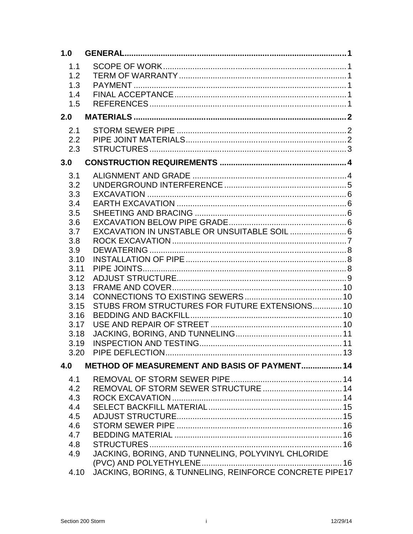| 1.0  |                                                         |  |
|------|---------------------------------------------------------|--|
| 1.1  |                                                         |  |
| 1.2  |                                                         |  |
| 1.3  |                                                         |  |
| 1.4  |                                                         |  |
| 1.5  |                                                         |  |
|      |                                                         |  |
| 2.0  |                                                         |  |
| 2.1  |                                                         |  |
| 2.2  |                                                         |  |
| 2.3  |                                                         |  |
| 3.0  |                                                         |  |
|      |                                                         |  |
| 3.1  |                                                         |  |
| 3.2  |                                                         |  |
| 3.3  |                                                         |  |
| 3.4  |                                                         |  |
| 3.5  |                                                         |  |
| 3.6  |                                                         |  |
| 3.7  | EXCAVATION IN UNSTABLE OR UNSUITABLE SOIL  6            |  |
| 3.8  |                                                         |  |
| 3.9  |                                                         |  |
| 3.10 |                                                         |  |
| 3.11 |                                                         |  |
| 3.12 |                                                         |  |
| 3.13 |                                                         |  |
| 3.14 |                                                         |  |
| 3.15 | STUBS FROM STRUCTURES FOR FUTURE EXTENSIONS 10          |  |
| 3.16 |                                                         |  |
| 3.17 |                                                         |  |
| 3.18 |                                                         |  |
| 3.19 |                                                         |  |
| 3.20 |                                                         |  |
| 4.0  | <b>METHOD OF MEASUREMENT AND BASIS OF PAYMENT 14</b>    |  |
| 4.1  |                                                         |  |
| 4.2  | REMOVAL OF STORM SEWER STRUCTURE  14                    |  |
| 4.3  |                                                         |  |
| 4.4  |                                                         |  |
| 4.5  |                                                         |  |
| 4.6  |                                                         |  |
| 4.7  |                                                         |  |
| 4.8  |                                                         |  |
| 4.9  | JACKING, BORING, AND TUNNELING, POLYVINYL CHLORIDE      |  |
|      |                                                         |  |
| 4.10 | JACKING, BORING, & TUNNELING, REINFORCE CONCRETE PIPE17 |  |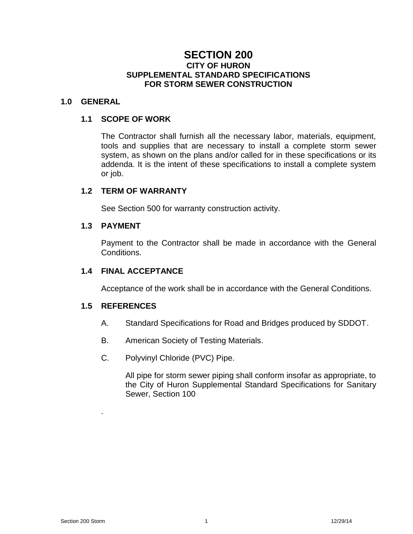# **SECTION 200 CITY OF HURON SUPPLEMENTAL STANDARD SPECIFICATIONS FOR STORM SEWER CONSTRUCTION**

# **1.0 GENERAL**

## **1.1 SCOPE OF WORK**

The Contractor shall furnish all the necessary labor, materials, equipment, tools and supplies that are necessary to install a complete storm sewer system, as shown on the plans and/or called for in these specifications or its addenda. It is the intent of these specifications to install a complete system or job.

## **1.2 TERM OF WARRANTY**

See Section 500 for warranty construction activity.

## **1.3 PAYMENT**

Payment to the Contractor shall be made in accordance with the General Conditions.

## **1.4 FINAL ACCEPTANCE**

Acceptance of the work shall be in accordance with the General Conditions.

# **1.5 REFERENCES**

.

- A. Standard Specifications for Road and Bridges produced by SDDOT.
- B. American Society of Testing Materials.
- C. Polyvinyl Chloride (PVC) Pipe.

All pipe for storm sewer piping shall conform insofar as appropriate, to the City of Huron Supplemental Standard Specifications for Sanitary Sewer, Section 100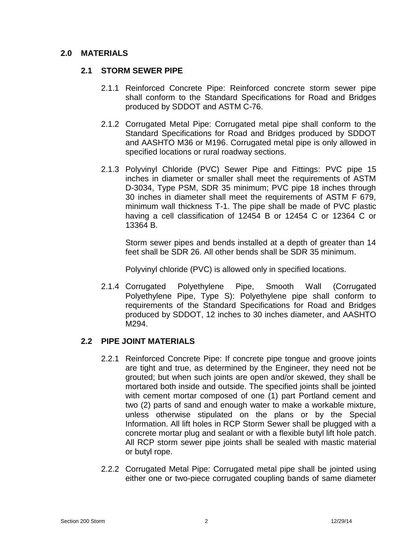# **2.0 MATERIALS**

# **2.1 STORM SEWER PIPE**

- 2.1.1 Reinforced Concrete Pipe: Reinforced concrete storm sewer pipe shall conform to the Standard Specifications for Road and Bridges produced by SDDOT and ASTM C-76.
- 2.1.2 Corrugated Metal Pipe: Corrugated metal pipe shall conform to the Standard Specifications for Road and Bridges produced by SDDOT and AASHTO M36 or M196. Corrugated metal pipe is only allowed in specified locations or rural roadway sections.
- 2.1.3 Polyvinyl Chloride (PVC) Sewer Pipe and Fittings: PVC pipe 15 inches in diameter or smaller shall meet the requirements of ASTM D-3034, Type PSM, SDR 35 minimum; PVC pipe 18 inches through 30 inches in diameter shall meet the requirements of ASTM F 679, minimum wall thickness T-1. The pipe shall be made of PVC plastic having a cell classification of 12454 B or 12454 C or 12364 C or 13364 B.

Storm sewer pipes and bends installed at a depth of greater than 14 feet shall be SDR 26. All other bends shall be SDR 35 minimum.

Polyvinyl chloride (PVC) is allowed only in specified locations.

2.1.4 Corrugated Polyethylene Pipe, Smooth Wall (Corrugated Polyethylene Pipe, Type S): Polyethylene pipe shall conform to requirements of the Standard Specifications for Road and Bridges produced by SDDOT, 12 inches to 30 inches diameter, and AASHTO M294.

# **2.2 PIPE JOINT MATERIALS**

- 2.2.1 Reinforced Concrete Pipe: If concrete pipe tongue and groove joints are tight and true, as determined by the Engineer, they need not be grouted; but when such joints are open and/or skewed, they shall be mortared both inside and outside. The specified joints shall be jointed with cement mortar composed of one (1) part Portland cement and two (2) parts of sand and enough water to make a workable mixture, unless otherwise stipulated on the plans or by the Special Information. All lift holes in RCP Storm Sewer shall be plugged with a concrete mortar plug and sealant or with a flexible butyl lift hole patch. All RCP storm sewer pipe joints shall be sealed with mastic material or butyl rope.
- 2.2.2 Corrugated Metal Pipe: Corrugated metal pipe shall be jointed using either one or two-piece corrugated coupling bands of same diameter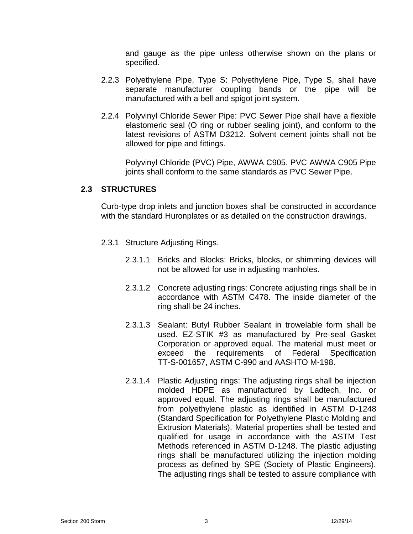and gauge as the pipe unless otherwise shown on the plans or specified.

- 2.2.3 Polyethylene Pipe, Type S: Polyethylene Pipe, Type S, shall have separate manufacturer coupling bands or the pipe will be manufactured with a bell and spigot joint system.
- 2.2.4 Polyvinyl Chloride Sewer Pipe: PVC Sewer Pipe shall have a flexible elastomeric seal (O ring or rubber sealing joint), and conform to the latest revisions of ASTM D3212. Solvent cement joints shall not be allowed for pipe and fittings.

Polyvinyl Chloride (PVC) Pipe, AWWA C905. PVC AWWA C905 Pipe joints shall conform to the same standards as PVC Sewer Pipe.

# **2.3 STRUCTURES**

Curb-type drop inlets and junction boxes shall be constructed in accordance with the standard Huronplates or as detailed on the construction drawings.

- 2.3.1 Structure Adjusting Rings.
	- 2.3.1.1 Bricks and Blocks: Bricks, blocks, or shimming devices will not be allowed for use in adjusting manholes.
	- 2.3.1.2 Concrete adjusting rings: Concrete adjusting rings shall be in accordance with ASTM C478. The inside diameter of the ring shall be 24 inches.
	- 2.3.1.3 Sealant: Butyl Rubber Sealant in trowelable form shall be used. EZ-STIK #3 as manufactured by Pre-seal Gasket Corporation or approved equal. The material must meet or exceed the requirements of Federal Specification TT-S-001657, ASTM C-990 and AASHTO M-198.
	- 2.3.1.4 Plastic Adjusting rings: The adjusting rings shall be injection molded HDPE as manufactured by Ladtech, Inc. or approved equal. The adjusting rings shall be manufactured from polyethylene plastic as identified in ASTM D-1248 (Standard Specification for Polyethylene Plastic Molding and Extrusion Materials). Material properties shall be tested and qualified for usage in accordance with the ASTM Test Methods referenced in ASTM D-1248. The plastic adjusting rings shall be manufactured utilizing the injection molding process as defined by SPE (Society of Plastic Engineers). The adjusting rings shall be tested to assure compliance with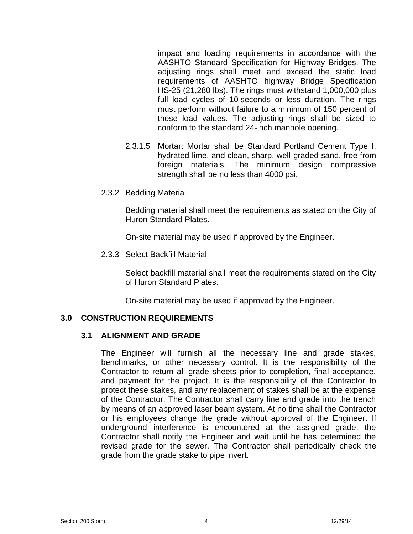impact and loading requirements in accordance with the AASHTO Standard Specification for Highway Bridges. The adjusting rings shall meet and exceed the static load requirements of AASHTO highway Bridge Specification HS-25 (21,280 lbs). The rings must withstand 1,000,000 plus full load cycles of 10 seconds or less duration. The rings must perform without failure to a minimum of 150 percent of these load values. The adjusting rings shall be sized to conform to the standard 24-inch manhole opening.

- 2.3.1.5 Mortar: Mortar shall be Standard Portland Cement Type I, hydrated lime, and clean, sharp, well-graded sand, free from foreign materials. The minimum design compressive strength shall be no less than 4000 psi.
- 2.3.2 Bedding Material

Bedding material shall meet the requirements as stated on the City of Huron Standard Plates.

On-site material may be used if approved by the Engineer.

2.3.3 Select Backfill Material

Select backfill material shall meet the requirements stated on the City of Huron Standard Plates.

On-site material may be used if approved by the Engineer.

# **3.0 CONSTRUCTION REQUIREMENTS**

## **3.1 ALIGNMENT AND GRADE**

The Engineer will furnish all the necessary line and grade stakes, benchmarks, or other necessary control. It is the responsibility of the Contractor to return all grade sheets prior to completion, final acceptance, and payment for the project. It is the responsibility of the Contractor to protect these stakes, and any replacement of stakes shall be at the expense of the Contractor. The Contractor shall carry line and grade into the trench by means of an approved laser beam system. At no time shall the Contractor or his employees change the grade without approval of the Engineer. If underground interference is encountered at the assigned grade, the Contractor shall notify the Engineer and wait until he has determined the revised grade for the sewer. The Contractor shall periodically check the grade from the grade stake to pipe invert.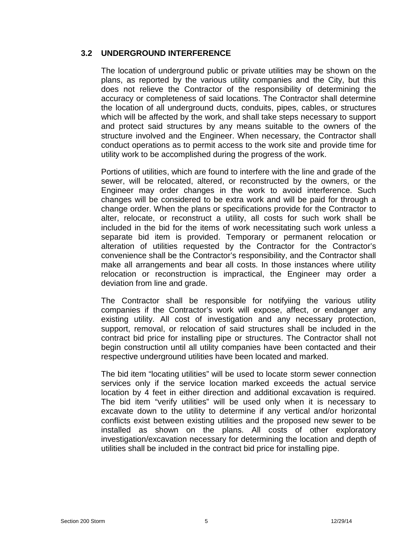# **3.2 UNDERGROUND INTERFERENCE**

The location of underground public or private utilities may be shown on the plans, as reported by the various utility companies and the City, but this does not relieve the Contractor of the responsibility of determining the accuracy or completeness of said locations. The Contractor shall determine the location of all underground ducts, conduits, pipes, cables, or structures which will be affected by the work, and shall take steps necessary to support and protect said structures by any means suitable to the owners of the structure involved and the Engineer. When necessary, the Contractor shall conduct operations as to permit access to the work site and provide time for utility work to be accomplished during the progress of the work.

Portions of utilities, which are found to interfere with the line and grade of the sewer, will be relocated, altered, or reconstructed by the owners, or the Engineer may order changes in the work to avoid interference. Such changes will be considered to be extra work and will be paid for through a change order. When the plans or specifications provide for the Contractor to alter, relocate, or reconstruct a utility, all costs for such work shall be included in the bid for the items of work necessitating such work unless a separate bid item is provided. Temporary or permanent relocation or alteration of utilities requested by the Contractor for the Contractor's convenience shall be the Contractor's responsibility, and the Contractor shall make all arrangements and bear all costs. In those instances where utility relocation or reconstruction is impractical, the Engineer may order a deviation from line and grade.

The Contractor shall be responsible for notifyiing the various utility companies if the Contractor's work will expose, affect, or endanger any existing utility. All cost of investigation and any necessary protection, support, removal, or relocation of said structures shall be included in the contract bid price for installing pipe or structures. The Contractor shall not begin construction until all utility companies have been contacted and their respective underground utilities have been located and marked.

The bid item "locating utilities" will be used to locate storm sewer connection services only if the service location marked exceeds the actual service location by 4 feet in either direction and additional excavation is required. The bid item "verify utilities" will be used only when it is necessary to excavate down to the utility to determine if any vertical and/or horizontal conflicts exist between existing utilities and the proposed new sewer to be installed as shown on the plans. All costs of other exploratory investigation/excavation necessary for determining the location and depth of utilities shall be included in the contract bid price for installing pipe.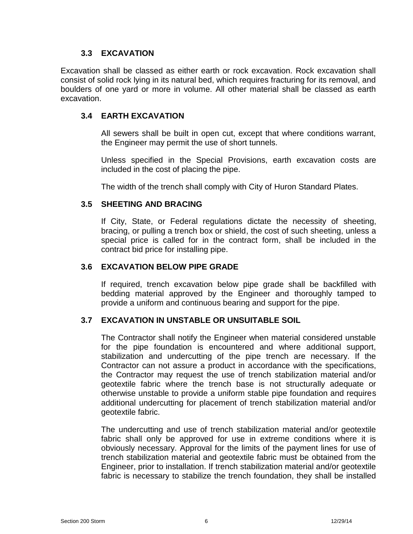# **3.3 EXCAVATION**

Excavation shall be classed as either earth or rock excavation. Rock excavation shall consist of solid rock lying in its natural bed, which requires fracturing for its removal, and boulders of one yard or more in volume. All other material shall be classed as earth excavation.

# **3.4 EARTH EXCAVATION**

All sewers shall be built in open cut, except that where conditions warrant, the Engineer may permit the use of short tunnels.

Unless specified in the Special Provisions, earth excavation costs are included in the cost of placing the pipe.

The width of the trench shall comply with City of Huron Standard Plates.

# **3.5 SHEETING AND BRACING**

If City, State, or Federal regulations dictate the necessity of sheeting, bracing, or pulling a trench box or shield, the cost of such sheeting, unless a special price is called for in the contract form, shall be included in the contract bid price for installing pipe.

# **3.6 EXCAVATION BELOW PIPE GRADE**

If required, trench excavation below pipe grade shall be backfilled with bedding material approved by the Engineer and thoroughly tamped to provide a uniform and continuous bearing and support for the pipe.

# **3.7 EXCAVATION IN UNSTABLE OR UNSUITABLE SOIL**

The Contractor shall notify the Engineer when material considered unstable for the pipe foundation is encountered and where additional support, stabilization and undercutting of the pipe trench are necessary. If the Contractor can not assure a product in accordance with the specifications, the Contractor may request the use of trench stabilization material and/or geotextile fabric where the trench base is not structurally adequate or otherwise unstable to provide a uniform stable pipe foundation and requires additional undercutting for placement of trench stabilization material and/or geotextile fabric.

The undercutting and use of trench stabilization material and/or geotextile fabric shall only be approved for use in extreme conditions where it is obviously necessary. Approval for the limits of the payment lines for use of trench stabilization material and geotextile fabric must be obtained from the Engineer, prior to installation. If trench stabilization material and/or geotextile fabric is necessary to stabilize the trench foundation, they shall be installed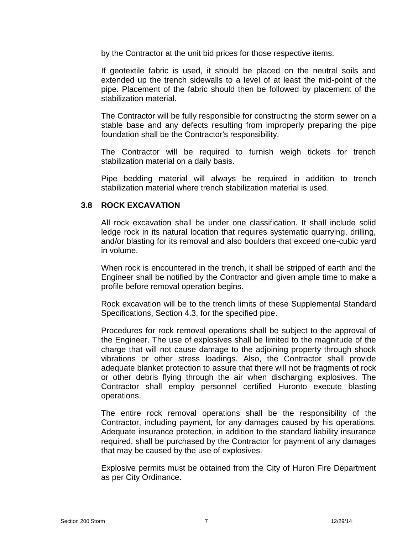by the Contractor at the unit bid prices for those respective items.

If geotextile fabric is used, it should be placed on the neutral soils and extended up the trench sidewalls to a level of at least the mid-point of the pipe. Placement of the fabric should then be followed by placement of the stabilization material.

The Contractor will be fully responsible for constructing the storm sewer on a stable base and any defects resulting from improperly preparing the pipe foundation shall be the Contractor's responsibility.

The Contractor will be required to furnish weigh tickets for trench stabilization material on a daily basis.

Pipe bedding material will always be required in addition to trench stabilization material where trench stabilization material is used.

## **3.8 ROCK EXCAVATION**

All rock excavation shall be under one classification. It shall include solid ledge rock in its natural location that requires systematic quarrying, drilling, and/or blasting for its removal and also boulders that exceed one-cubic yard in volume.

When rock is encountered in the trench, it shall be stripped of earth and the Engineer shall be notified by the Contractor and given ample time to make a profile before removal operation begins.

Rock excavation will be to the trench limits of these Supplemental Standard Specifications, Section 4.3, for the specified pipe.

Procedures for rock removal operations shall be subject to the approval of the Engineer. The use of explosives shall be limited to the magnitude of the charge that will not cause damage to the adjoining property through shock vibrations or other stress loadings. Also, the Contractor shall provide adequate blanket protection to assure that there will not be fragments of rock or other debris flying through the air when discharging explosives. The Contractor shall employ personnel certified Huronto execute blasting operations.

The entire rock removal operations shall be the responsibility of the Contractor, including payment, for any damages caused by his operations. Adequate insurance protection, in addition to the standard liability insurance required, shall be purchased by the Contractor for payment of any damages that may be caused by the use of explosives.

Explosive permits must be obtained from the City of Huron Fire Department as per City Ordinance.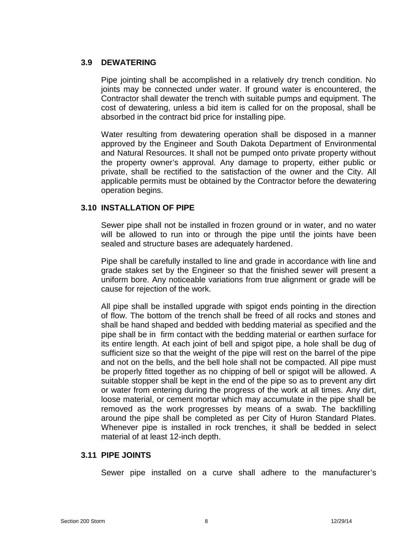# **3.9 DEWATERING**

Pipe jointing shall be accomplished in a relatively dry trench condition. No joints may be connected under water. If ground water is encountered, the Contractor shall dewater the trench with suitable pumps and equipment. The cost of dewatering, unless a bid item is called for on the proposal, shall be absorbed in the contract bid price for installing pipe.

Water resulting from dewatering operation shall be disposed in a manner approved by the Engineer and South Dakota Department of Environmental and Natural Resources. It shall not be pumped onto private property without the property owner's approval. Any damage to property, either public or private, shall be rectified to the satisfaction of the owner and the City. All applicable permits must be obtained by the Contractor before the dewatering operation begins.

# **3.10 INSTALLATION OF PIPE**

Sewer pipe shall not be installed in frozen ground or in water, and no water will be allowed to run into or through the pipe until the joints have been sealed and structure bases are adequately hardened.

Pipe shall be carefully installed to line and grade in accordance with line and grade stakes set by the Engineer so that the finished sewer will present a uniform bore. Any noticeable variations from true alignment or grade will be cause for rejection of the work.

All pipe shall be installed upgrade with spigot ends pointing in the direction of flow. The bottom of the trench shall be freed of all rocks and stones and shall be hand shaped and bedded with bedding material as specified and the pipe shall be in firm contact with the bedding material or earthen surface for its entire length. At each joint of bell and spigot pipe, a hole shall be dug of sufficient size so that the weight of the pipe will rest on the barrel of the pipe and not on the bells, and the bell hole shall not be compacted. All pipe must be properly fitted together as no chipping of bell or spigot will be allowed. A suitable stopper shall be kept in the end of the pipe so as to prevent any dirt or water from entering during the progress of the work at all times. Any dirt, loose material, or cement mortar which may accumulate in the pipe shall be removed as the work progresses by means of a swab. The backfilling around the pipe shall be completed as per City of Huron Standard Plates. Whenever pipe is installed in rock trenches, it shall be bedded in select material of at least 12-inch depth.

## **3.11 PIPE JOINTS**

Sewer pipe installed on a curve shall adhere to the manufacturer's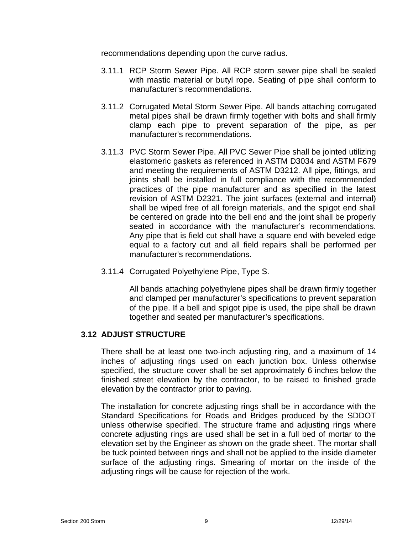recommendations depending upon the curve radius.

- 3.11.1 RCP Storm Sewer Pipe. All RCP storm sewer pipe shall be sealed with mastic material or butyl rope. Seating of pipe shall conform to manufacturer's recommendations.
- 3.11.2 Corrugated Metal Storm Sewer Pipe. All bands attaching corrugated metal pipes shall be drawn firmly together with bolts and shall firmly clamp each pipe to prevent separation of the pipe, as per manufacturer's recommendations.
- 3.11.3 PVC Storm Sewer Pipe. All PVC Sewer Pipe shall be jointed utilizing elastomeric gaskets as referenced in ASTM D3034 and ASTM F679 and meeting the requirements of ASTM D3212. All pipe, fittings, and joints shall be installed in full compliance with the recommended practices of the pipe manufacturer and as specified in the latest revision of ASTM D2321. The joint surfaces (external and internal) shall be wiped free of all foreign materials, and the spigot end shall be centered on grade into the bell end and the joint shall be properly seated in accordance with the manufacturer's recommendations. Any pipe that is field cut shall have a square end with beveled edge equal to a factory cut and all field repairs shall be performed per manufacturer's recommendations.
- 3.11.4 Corrugated Polyethylene Pipe, Type S.

All bands attaching polyethylene pipes shall be drawn firmly together and clamped per manufacturer's specifications to prevent separation of the pipe. If a bell and spigot pipe is used, the pipe shall be drawn together and seated per manufacturer's specifications.

# **3.12 ADJUST STRUCTURE**

There shall be at least one two-inch adjusting ring, and a maximum of 14 inches of adjusting rings used on each junction box. Unless otherwise specified, the structure cover shall be set approximately 6 inches below the finished street elevation by the contractor, to be raised to finished grade elevation by the contractor prior to paving.

The installation for concrete adjusting rings shall be in accordance with the Standard Specifications for Roads and Bridges produced by the SDDOT unless otherwise specified. The structure frame and adjusting rings where concrete adjusting rings are used shall be set in a full bed of mortar to the elevation set by the Engineer as shown on the grade sheet. The mortar shall be tuck pointed between rings and shall not be applied to the inside diameter surface of the adjusting rings. Smearing of mortar on the inside of the adjusting rings will be cause for rejection of the work.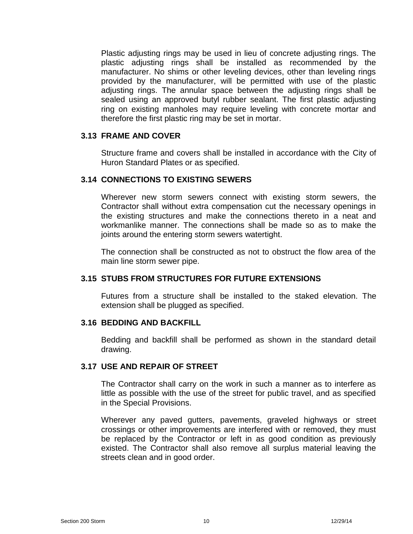Plastic adjusting rings may be used in lieu of concrete adjusting rings. The plastic adjusting rings shall be installed as recommended by the manufacturer. No shims or other leveling devices, other than leveling rings provided by the manufacturer, will be permitted with use of the plastic adjusting rings. The annular space between the adjusting rings shall be sealed using an approved butyl rubber sealant. The first plastic adjusting ring on existing manholes may require leveling with concrete mortar and therefore the first plastic ring may be set in mortar.

#### **3.13 FRAME AND COVER**

Structure frame and covers shall be installed in accordance with the City of Huron Standard Plates or as specified.

## **3.14 CONNECTIONS TO EXISTING SEWERS**

Wherever new storm sewers connect with existing storm sewers, the Contractor shall without extra compensation cut the necessary openings in the existing structures and make the connections thereto in a neat and workmanlike manner. The connections shall be made so as to make the joints around the entering storm sewers watertight.

The connection shall be constructed as not to obstruct the flow area of the main line storm sewer pipe.

## **3.15 STUBS FROM STRUCTURES FOR FUTURE EXTENSIONS**

Futures from a structure shall be installed to the staked elevation. The extension shall be plugged as specified.

#### **3.16 BEDDING AND BACKFILL**

Bedding and backfill shall be performed as shown in the standard detail drawing.

## **3.17 USE AND REPAIR OF STREET**

The Contractor shall carry on the work in such a manner as to interfere as little as possible with the use of the street for public travel, and as specified in the Special Provisions.

Wherever any paved gutters, pavements, graveled highways or street crossings or other improvements are interfered with or removed, they must be replaced by the Contractor or left in as good condition as previously existed. The Contractor shall also remove all surplus material leaving the streets clean and in good order.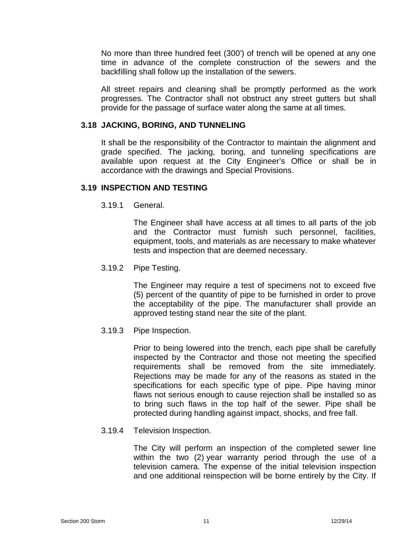No more than three hundred feet (300') of trench will be opened at any one time in advance of the complete construction of the sewers and the backfilling shall follow up the installation of the sewers.

All street repairs and cleaning shall be promptly performed as the work progresses. The Contractor shall not obstruct any street gutters but shall provide for the passage of surface water along the same at all times.

## **3.18 JACKING, BORING, AND TUNNELING**

It shall be the responsibility of the Contractor to maintain the alignment and grade specified. The jacking, boring, and tunneling specifications are available upon request at the City Engineer's Office or shall be in accordance with the drawings and Special Provisions.

## **3.19 INSPECTION AND TESTING**

3.19.1 General.

The Engineer shall have access at all times to all parts of the job and the Contractor must furnish such personnel, facilities, equipment, tools, and materials as are necessary to make whatever tests and inspection that are deemed necessary.

3.19.2 Pipe Testing.

The Engineer may require a test of specimens not to exceed five (5) percent of the quantity of pipe to be furnished in order to prove the acceptability of the pipe. The manufacturer shall provide an approved testing stand near the site of the plant.

3.19.3 Pipe Inspection.

Prior to being lowered into the trench, each pipe shall be carefully inspected by the Contractor and those not meeting the specified requirements shall be removed from the site immediately. Rejections may be made for any of the reasons as stated in the specifications for each specific type of pipe. Pipe having minor flaws not serious enough to cause rejection shall be installed so as to bring such flaws in the top half of the sewer. Pipe shall be protected during handling against impact, shocks, and free fall.

3.19.4 Television Inspection.

The City will perform an inspection of the completed sewer line within the two (2) year warranty period through the use of a television camera. The expense of the initial television inspection and one additional reinspection will be borne entirely by the City. If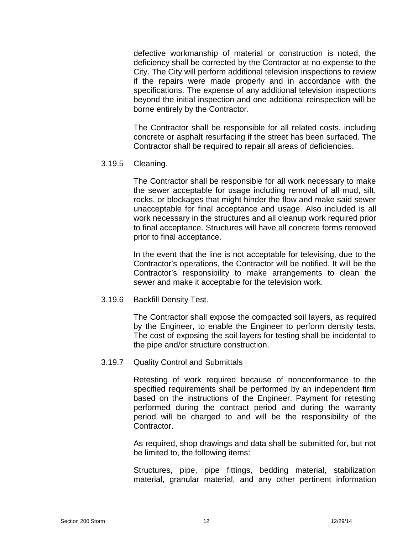defective workmanship of material or construction is noted, the deficiency shall be corrected by the Contractor at no expense to the City. The City will perform additional television inspections to review if the repairs were made properly and in accordance with the specifications. The expense of any additional television inspections beyond the initial inspection and one additional reinspection will be borne entirely by the Contractor.

The Contractor shall be responsible for all related costs, including concrete or asphalt resurfacing if the street has been surfaced. The Contractor shall be required to repair all areas of deficiencies.

3.19.5 Cleaning.

The Contractor shall be responsible for all work necessary to make the sewer acceptable for usage including removal of all mud, silt, rocks, or blockages that might hinder the flow and make said sewer unacceptable for final acceptance and usage. Also included is all work necessary in the structures and all cleanup work required prior to final acceptance. Structures will have all concrete forms removed prior to final acceptance.

In the event that the line is not acceptable for televising, due to the Contractor's operations, the Contractor will be notified. It will be the Contractor's responsibility to make arrangements to clean the sewer and make it acceptable for the television work.

# 3.19.6 Backfill Density Test.

The Contractor shall expose the compacted soil layers, as required by the Engineer, to enable the Engineer to perform density tests. The cost of exposing the soil layers for testing shall be incidental to the pipe and/or structure construction.

# 3.19.7 Quality Control and Submittals

Retesting of work required because of nonconformance to the specified requirements shall be performed by an independent firm based on the instructions of the Engineer. Payment for retesting performed during the contract period and during the warranty period will be charged to and will be the responsibility of the Contractor.

As required, shop drawings and data shall be submitted for, but not be limited to, the following items:

Structures, pipe, pipe fittings, bedding material, stabilization material, granular material, and any other pertinent information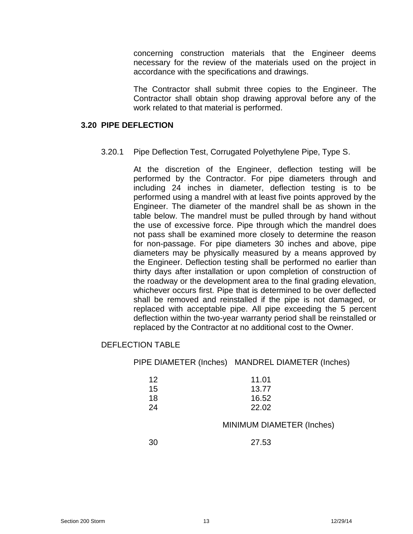concerning construction materials that the Engineer deems necessary for the review of the materials used on the project in accordance with the specifications and drawings.

The Contractor shall submit three copies to the Engineer. The Contractor shall obtain shop drawing approval before any of the work related to that material is performed.

#### **3.20 PIPE DEFLECTION**

3.20.1 Pipe Deflection Test, Corrugated Polyethylene Pipe, Type S.

At the discretion of the Engineer, deflection testing will be performed by the Contractor. For pipe diameters through and including 24 inches in diameter, deflection testing is to be performed using a mandrel with at least five points approved by the Engineer. The diameter of the mandrel shall be as shown in the table below. The mandrel must be pulled through by hand without the use of excessive force. Pipe through which the mandrel does not pass shall be examined more closely to determine the reason for non-passage. For pipe diameters 30 inches and above, pipe diameters may be physically measured by a means approved by the Engineer. Deflection testing shall be performed no earlier than thirty days after installation or upon completion of construction of the roadway or the development area to the final grading elevation, whichever occurs first. Pipe that is determined to be over deflected shall be removed and reinstalled if the pipe is not damaged, or replaced with acceptable pipe. All pipe exceeding the 5 percent deflection within the two-year warranty period shall be reinstalled or replaced by the Contractor at no additional cost to the Owner.

# DEFLECTION TABLE

PIPE DIAMETER (Inches) MANDREL DIAMETER (Inches)

| 12 | 11.01 |
|----|-------|
| 15 | 13.77 |
| 18 | 16.52 |
| 24 | 22.02 |

## MINIMUM DIAMETER (Inches)

30 27.53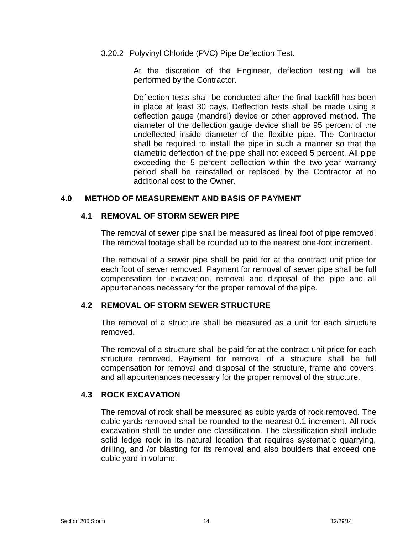3.20.2 Polyvinyl Chloride (PVC) Pipe Deflection Test.

At the discretion of the Engineer, deflection testing will be performed by the Contractor.

Deflection tests shall be conducted after the final backfill has been in place at least 30 days. Deflection tests shall be made using a deflection gauge (mandrel) device or other approved method. The diameter of the deflection gauge device shall be 95 percent of the undeflected inside diameter of the flexible pipe. The Contractor shall be required to install the pipe in such a manner so that the diametric deflection of the pipe shall not exceed 5 percent. All pipe exceeding the 5 percent deflection within the two-year warranty period shall be reinstalled or replaced by the Contractor at no additional cost to the Owner.

# **4.0 METHOD OF MEASUREMENT AND BASIS OF PAYMENT**

## **4.1 REMOVAL OF STORM SEWER PIPE**

The removal of sewer pipe shall be measured as lineal foot of pipe removed. The removal footage shall be rounded up to the nearest one-foot increment.

The removal of a sewer pipe shall be paid for at the contract unit price for each foot of sewer removed. Payment for removal of sewer pipe shall be full compensation for excavation, removal and disposal of the pipe and all appurtenances necessary for the proper removal of the pipe.

# **4.2 REMOVAL OF STORM SEWER STRUCTURE**

The removal of a structure shall be measured as a unit for each structure removed.

The removal of a structure shall be paid for at the contract unit price for each structure removed. Payment for removal of a structure shall be full compensation for removal and disposal of the structure, frame and covers, and all appurtenances necessary for the proper removal of the structure.

# **4.3 ROCK EXCAVATION**

The removal of rock shall be measured as cubic yards of rock removed. The cubic yards removed shall be rounded to the nearest 0.1 increment. All rock excavation shall be under one classification. The classification shall include solid ledge rock in its natural location that requires systematic quarrying, drilling, and /or blasting for its removal and also boulders that exceed one cubic yard in volume.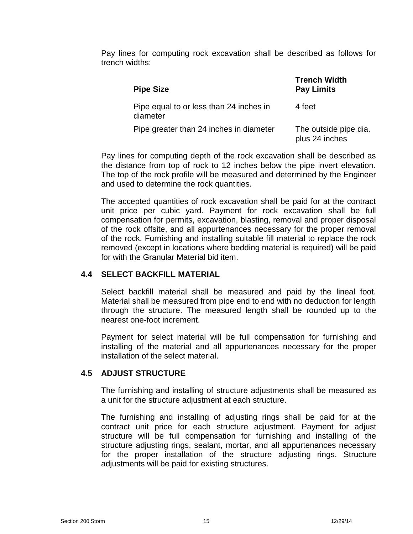Pay lines for computing rock excavation shall be described as follows for trench widths:

| <b>Pipe Size</b>                                    | Trench Width<br><b>Pay Limits</b>       |
|-----------------------------------------------------|-----------------------------------------|
| Pipe equal to or less than 24 inches in<br>diameter | 4 feet                                  |
| Pipe greater than 24 inches in diameter             | The outside pipe dia.<br>plus 24 inches |

Pay lines for computing depth of the rock excavation shall be described as the distance from top of rock to 12 inches below the pipe invert elevation. The top of the rock profile will be measured and determined by the Engineer and used to determine the rock quantities.

The accepted quantities of rock excavation shall be paid for at the contract unit price per cubic yard. Payment for rock excavation shall be full compensation for permits, excavation, blasting, removal and proper disposal of the rock offsite, and all appurtenances necessary for the proper removal of the rock. Furnishing and installing suitable fill material to replace the rock removed (except in locations where bedding material is required) will be paid for with the Granular Material bid item.

# **4.4 SELECT BACKFILL MATERIAL**

Select backfill material shall be measured and paid by the lineal foot. Material shall be measured from pipe end to end with no deduction for length through the structure. The measured length shall be rounded up to the nearest one-foot increment.

Payment for select material will be full compensation for furnishing and installing of the material and all appurtenances necessary for the proper installation of the select material.

# **4.5 ADJUST STRUCTURE**

The furnishing and installing of structure adjustments shall be measured as a unit for the structure adjustment at each structure.

The furnishing and installing of adjusting rings shall be paid for at the contract unit price for each structure adjustment. Payment for adjust structure will be full compensation for furnishing and installing of the structure adjusting rings, sealant, mortar, and all appurtenances necessary for the proper installation of the structure adjusting rings. Structure adjustments will be paid for existing structures.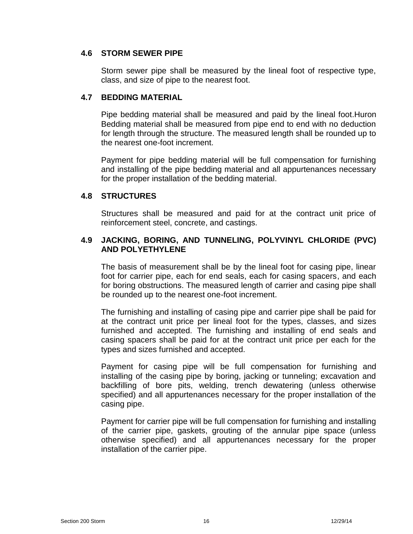## **4.6 STORM SEWER PIPE**

Storm sewer pipe shall be measured by the lineal foot of respective type, class, and size of pipe to the nearest foot.

# **4.7 BEDDING MATERIAL**

Pipe bedding material shall be measured and paid by the lineal foot.Huron Bedding material shall be measured from pipe end to end with no deduction for length through the structure. The measured length shall be rounded up to the nearest one-foot increment.

Payment for pipe bedding material will be full compensation for furnishing and installing of the pipe bedding material and all appurtenances necessary for the proper installation of the bedding material.

# **4.8 STRUCTURES**

Structures shall be measured and paid for at the contract unit price of reinforcement steel, concrete, and castings.

# **4.9 JACKING, BORING, AND TUNNELING, POLYVINYL CHLORIDE (PVC) AND POLYETHYLENE**

The basis of measurement shall be by the lineal foot for casing pipe, linear foot for carrier pipe, each for end seals, each for casing spacers, and each for boring obstructions. The measured length of carrier and casing pipe shall be rounded up to the nearest one-foot increment.

The furnishing and installing of casing pipe and carrier pipe shall be paid for at the contract unit price per lineal foot for the types, classes, and sizes furnished and accepted. The furnishing and installing of end seals and casing spacers shall be paid for at the contract unit price per each for the types and sizes furnished and accepted.

Payment for casing pipe will be full compensation for furnishing and installing of the casing pipe by boring, jacking or tunneling; excavation and backfilling of bore pits, welding, trench dewatering (unless otherwise specified) and all appurtenances necessary for the proper installation of the casing pipe.

Payment for carrier pipe will be full compensation for furnishing and installing of the carrier pipe, gaskets, grouting of the annular pipe space (unless otherwise specified) and all appurtenances necessary for the proper installation of the carrier pipe.